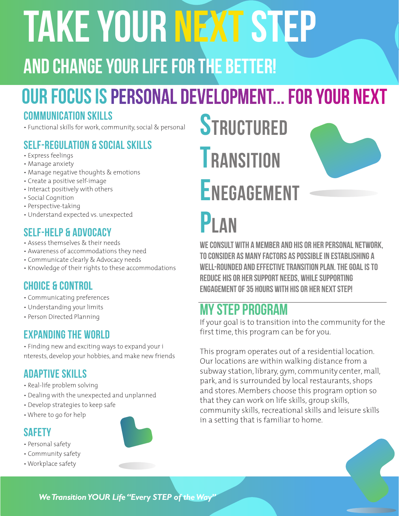# TAKE YOUR NEXT STEP

## and change your life for the better!

## OUR Focus is Personal Development... for your next

### COMMUNICATION SKILLS

• Functional skills for work, community, social & personal

## Self-regulation & Social Skills

- Express feelings
- Manage anxiety
- Manage negative thoughts & emotions
- Create a positive self-image
- Interact positively with others
- Social Cognition
- Perspective-taking
- Understand expected vs. unexpected

## Self-help & Advocacy

- Assess themselves & their needs
- Awareness of accommodations they need
- Communicate clearly & Advocacy needs
- Knowledge of their rights to these accommodations

## Choice & Control

- Communicating preferences
- Understanding your limits
- Person Directed Planning

### Expanding the World

• Finding new and exciting ways to expand your i nterests, develop your hobbies, and make new friends

### Adaptive skills

- Real-life problem solving
- Dealing with the unexpected and unplanned
- Develop strategies to keep safe
- Where to go for help



- Personal safety
- Community safety
- Workplace safety





## P<sub>L</sub>AN

We consult with a member and his or her personal network, to consider as many factors as possible in establishing a well-rounded and effective transition plan. the goal is to reduce his or her support needs, while supporting engagement of 35 hours with his or her next STEP!

## My Step Program

If your goal is to transition into the community for the first time, this program can be for you.

This program operates out of a residential location. Our locations are within walking distance from a subway station, library, gym, community center, mall, park, and is surrounded by local restaurants, shops and stores. Members choose this program option so that they can work on life skills, group skills, community skills, recreational skills and leisure skills in a setting that is familiar to home.

*We Transition YOUR Life "Every STEP of the Way"*